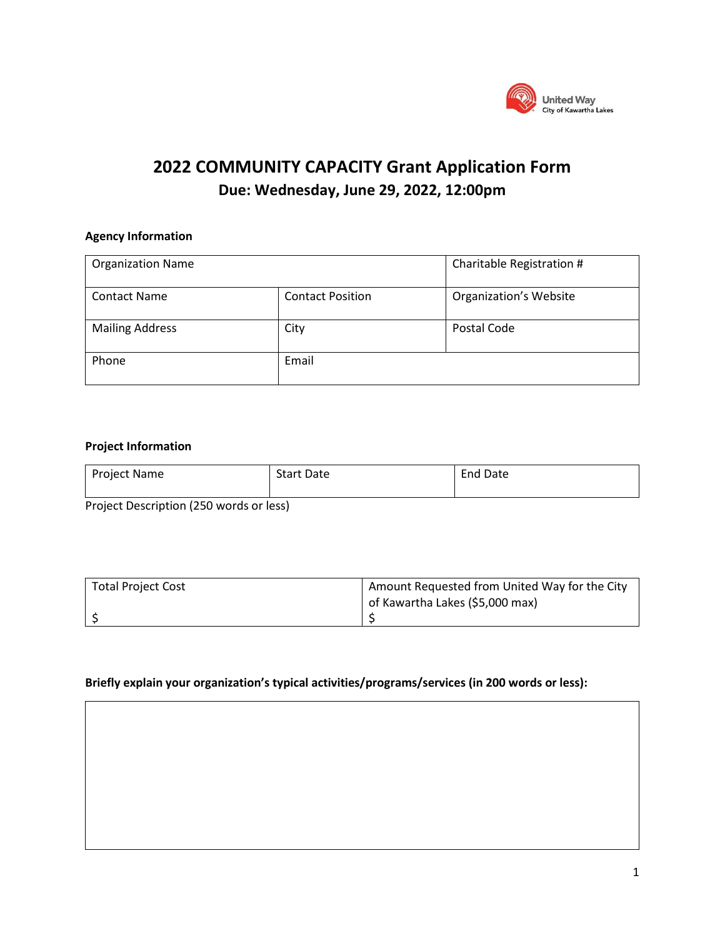

# **2022 COMMUNITY CAPACITY Grant Application Form Due: Wednesday, June 29, 2022, 12:00pm**

# **Agency Information**

| <b>Organization Name</b> |                         | Charitable Registration #     |  |
|--------------------------|-------------------------|-------------------------------|--|
| <b>Contact Name</b>      | <b>Contact Position</b> | <b>Organization's Website</b> |  |
| <b>Mailing Address</b>   | City                    | Postal Code                   |  |
| Phone                    | Email                   |                               |  |

## **Project Information**

| Project Name                            | <b>Start Date</b> | <b>End Date</b> |  |
|-----------------------------------------|-------------------|-----------------|--|
| Bustast Bassidistan (950 mende andered) |                   |                 |  |

Project Description (250 words or less)

| <b>Total Project Cost</b> | Amount Requested from United Way for the City |  |
|---------------------------|-----------------------------------------------|--|
|                           | of Kawartha Lakes (\$5,000 max)               |  |
|                           |                                               |  |

## **Briefly explain your organization's typical activities/programs/services (in 200 words or less):**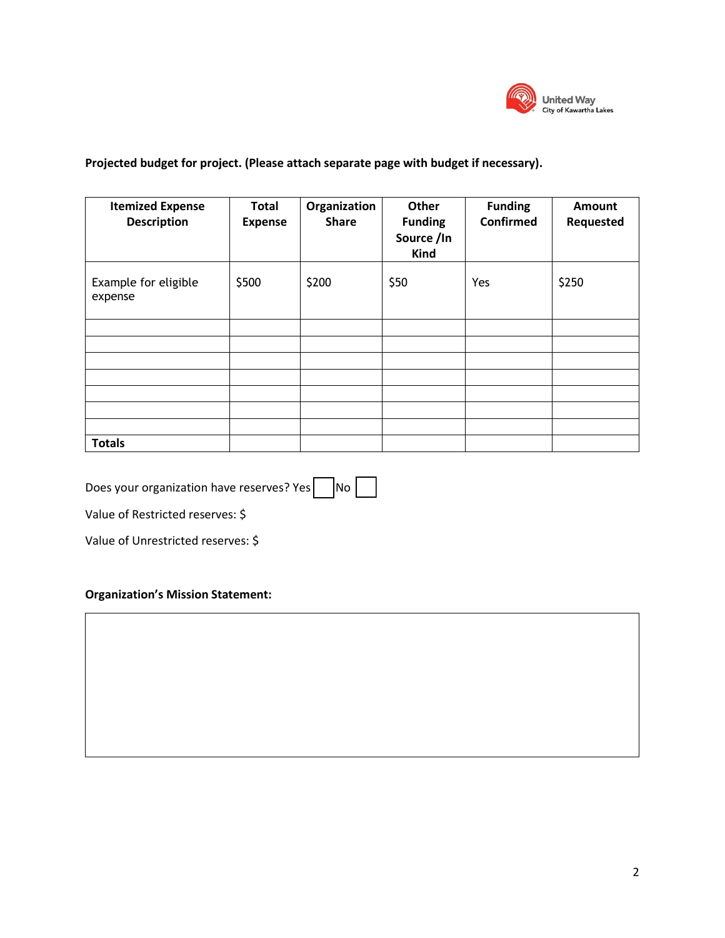

# **Projected budget for project. (Please attach separate page with budget if necessary).**

| <b>Itemized Expense</b><br><b>Description</b> | <b>Total</b><br><b>Expense</b> | Organization<br><b>Share</b> | Other<br><b>Funding</b><br>Source /In<br>Kind | <b>Funding</b><br><b>Confirmed</b> | Amount<br>Requested |
|-----------------------------------------------|--------------------------------|------------------------------|-----------------------------------------------|------------------------------------|---------------------|
| Example for eligible<br>expense               | \$500                          | \$200                        | \$50                                          | Yes                                | \$250               |
|                                               |                                |                              |                                               |                                    |                     |
|                                               |                                |                              |                                               |                                    |                     |
|                                               |                                |                              |                                               |                                    |                     |
|                                               |                                |                              |                                               |                                    |                     |
|                                               |                                |                              |                                               |                                    |                     |
| <b>Totals</b>                                 |                                |                              |                                               |                                    |                     |

Does your organization have reserves? Yes  $\nabla$ No

Value of Restricted reserves: \$

Value of Unrestricted reserves: \$

# **Organization's Mission Statement:**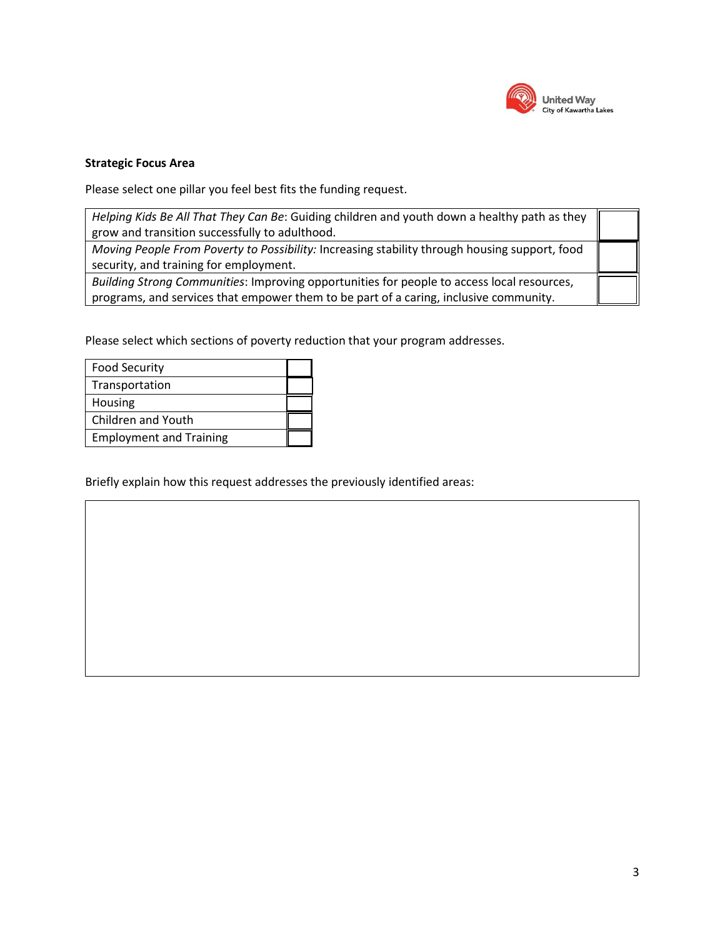

## **Strategic Focus Area**

Please select one pillar you feel best fits the funding request.

| Helping Kids Be All That They Can Be: Guiding children and youth down a healthy path as they<br>grow and transition successfully to adulthood.                                      |  |
|-------------------------------------------------------------------------------------------------------------------------------------------------------------------------------------|--|
| Moving People From Poverty to Possibility: Increasing stability through housing support, food<br>security, and training for employment.                                             |  |
| Building Strong Communities: Improving opportunities for people to access local resources,<br>programs, and services that empower them to be part of a caring, inclusive community. |  |

Please select which sections of poverty reduction that your program addresses.

| <b>Food Security</b>           |  |
|--------------------------------|--|
| Transportation                 |  |
| Housing                        |  |
| Children and Youth             |  |
| <b>Employment and Training</b> |  |

Briefly explain how this request addresses the previously identified areas: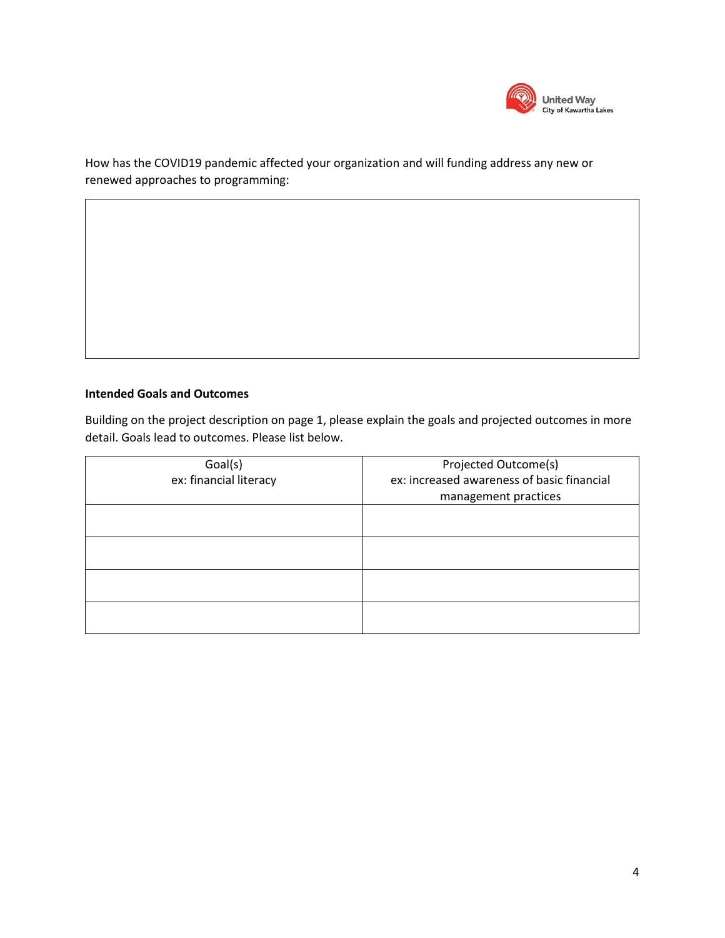

How has the COVID19 pandemic affected your organization and will funding address any new or renewed approaches to programming:

### **Intended Goals and Outcomes**

Building on the project description on page 1, please explain the goals and projected outcomes in more detail. Goals lead to outcomes. Please list below.

| Goal(s)                | Projected Outcome(s)                       |
|------------------------|--------------------------------------------|
| ex: financial literacy | ex: increased awareness of basic financial |
|                        | management practices                       |
|                        |                                            |
|                        |                                            |
|                        |                                            |
|                        |                                            |
|                        |                                            |
|                        |                                            |
|                        |                                            |
|                        |                                            |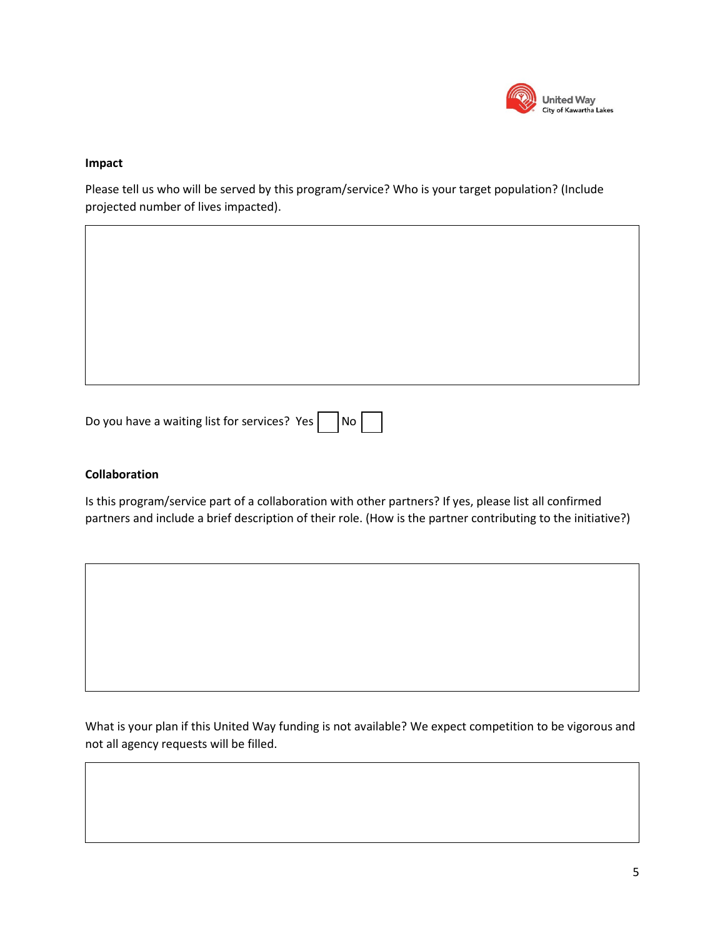

#### **Impact**

Please tell us who will be served by this program/service? Who is your target population? (Include projected number of lives impacted).

| Do you have a waiting list for services? Yes $\Box$ No $\Box$ |  |  |  |  |
|---------------------------------------------------------------|--|--|--|--|
|---------------------------------------------------------------|--|--|--|--|

#### **Collaboration**

Is this program/service part of a collaboration with other partners? If yes, please list all confirmed partners and include a brief description of their role. (How is the partner contributing to the initiative?)

What is your plan if this United Way funding is not available? We expect competition to be vigorous and not all agency requests will be filled.